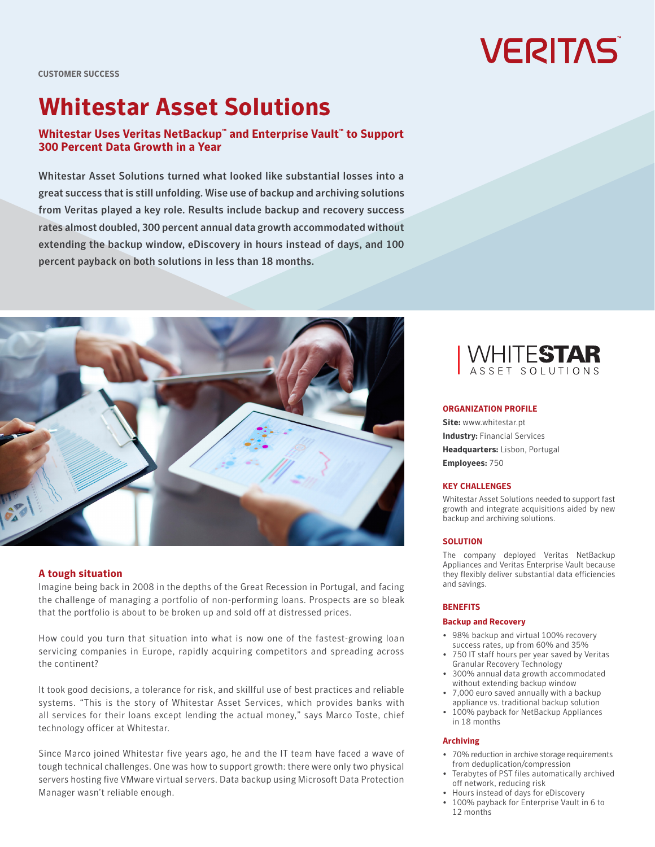# **VERITAS**

**CUSTOMER SUCCESS**

# **Whitestar Asset Solutions**

## **Whitestar Uses Veritas NetBackup™ and Enterprise Vault™ to Support 300 Percent Data Growth in a Year**

Whitestar Asset Solutions turned what looked like substantial losses into a great success that is still unfolding. Wise use of backup and archiving solutions from Veritas played a key role. Results include backup and recovery success rates almost doubled, 300 percent annual data growth accommodated without extending the backup window, eDiscovery in hours instead of days, and 100 percent payback on both solutions in less than 18 months.



#### **A tough situation**

Imagine being back in 2008 in the depths of the Great Recession in Portugal, and facing the challenge of managing a portfolio of non-performing loans. Prospects are so bleak that the portfolio is about to be broken up and sold off at distressed prices.

How could you turn that situation into what is now one of the fastest-growing loan servicing companies in Europe, rapidly acquiring competitors and spreading across the continent?

It took good decisions, a tolerance for risk, and skillful use of best practices and reliable systems. "This is the story of Whitestar Asset Services, which provides banks with all services for their loans except lending the actual money," says Marco Toste, chief technology officer at Whitestar.

Since Marco joined Whitestar five years ago, he and the IT team have faced a wave of tough technical challenges. One was how to support growth: there were only two physical servers hosting five VMware virtual servers. Data backup using Microsoft Data Protection Manager wasn't reliable enough.



#### **ORGANIZATION PROFILE**

**Site:** [www.whitestar.pt](http://www.whitestar.pt) **Industry:** Financial Services **Headquarters:** Lisbon, Portugal **Employees:** 750

#### **KEY CHALLENGES**

Whitestar Asset Solutions needed to support fast growth and integrate acquisitions aided by new backup and archiving solutions.

#### **SOLUTION**

The company deployed Veritas NetBackup Appliances and Veritas Enterprise Vault because they flexibly deliver substantial data efficiencies and savings.

#### **BENEFITS**

#### **Backup and Recovery**

- 98% backup and virtual 100% recovery success rates, up from 60% and 35%
- 750 IT staff hours per year saved by Veritas Granular Recovery Technology
- 300% annual data growth accommodated without extending backup window
- 7,000 euro saved annually with a backup appliance vs. traditional backup solution
- 100% payback for NetBackup Appliances in 18 months

#### **Archiving**

- 70% reduction in archive storage requirements from deduplication/compression
- Terabytes of PST files automatically archived off network, reducing risk
- Hours instead of days for eDiscovery
- 100% payback for Enterprise Vault in 6 to 12 months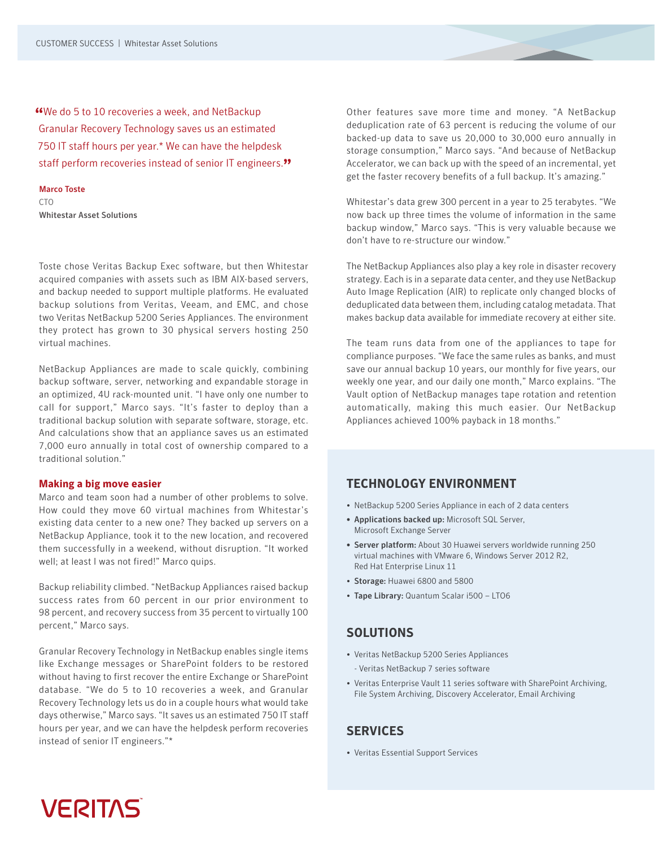**"**We do 5 to 10 recoveries a week, and NetBackup Granular Recovery Technology saves us an estimated 750 IT staff hours per year.\* We can have the helpdesk staff perform recoveries instead of senior IT engineers.**"**

#### Marco Toste

CTO<sub>1</sub>

Whitestar Asset Solutions

Toste chose Veritas Backup Exec software, but then Whitestar acquired companies with assets such as IBM AIX-based servers, and backup needed to support multiple platforms. He evaluated backup solutions from Veritas, Veeam, and EMC, and chose two Veritas NetBackup 5200 Series Appliances. The environment they protect has grown to 30 physical servers hosting 250 virtual machines.

NetBackup Appliances are made to scale quickly, combining backup software, server, networking and expandable storage in an optimized, 4U rack-mounted unit. "I have only one number to call for support," Marco says. "It's faster to deploy than a traditional backup solution with separate software, storage, etc. And calculations show that an appliance saves us an estimated 7,000 euro annually in total cost of ownership compared to a traditional solution."

#### **Making a big move easier**

Marco and team soon had a number of other problems to solve. How could they move 60 virtual machines from Whitestar's existing data center to a new one? They backed up servers on a NetBackup Appliance, took it to the new location, and recovered them successfully in a weekend, without disruption. "It worked well; at least I was not fired!" Marco quips.

Backup reliability climbed. "NetBackup Appliances raised backup success rates from 60 percent in our prior environment to 98 percent, and recovery success from 35 percent to virtually 100 percent," Marco says.

Granular Recovery Technology in NetBackup enables single items like Exchange messages or SharePoint folders to be restored without having to first recover the entire Exchange or SharePoint database. "We do 5 to 10 recoveries a week, and Granular Recovery Technology lets us do in a couple hours what would take days otherwise," Marco says. "It saves us an estimated 750 IT staff hours per year, and we can have the helpdesk perform recoveries instead of senior IT engineers."\*

Other features save more time and money. "A NetBackup deduplication rate of 63 percent is reducing the volume of our backed-up data to save us 20,000 to 30,000 euro annually in storage consumption," Marco says. "And because of NetBackup Accelerator, we can back up with the speed of an incremental, yet get the faster recovery benefits of a full backup. It's amazing."

Whitestar's data grew 300 percent in a year to 25 terabytes. "We now back up three times the volume of information in the same backup window," Marco says. "This is very valuable because we don't have to re-structure our window."

The NetBackup Appliances also play a key role in disaster recovery strategy. Each is in a separate data center, and they use NetBackup Auto Image Replication (AIR) to replicate only changed blocks of deduplicated data between them, including catalog metadata. That makes backup data available for immediate recovery at either site.

The team runs data from one of the appliances to tape for compliance purposes. "We face the same rules as banks, and must save our annual backup 10 years, our monthly for five years, our weekly one year, and our daily one month," Marco explains. "The Vault option of NetBackup manages tape rotation and retention automatically, making this much easier. Our NetBackup Appliances achieved 100% payback in 18 months."

## **TECHNOLOGY ENVIRONMENT**

- NetBackup 5200 Series Appliance in each of 2 data centers
- Applications backed up: Microsoft SQL Server, Microsoft Exchange Server
- Server platform: About 30 Huawei servers worldwide running 250 virtual machines with VMware 6, Windows Server 2012 R2, Red Hat Enterprise Linux 11
- Storage: Huawei 6800 and 5800
- Tape Library: Quantum Scalar i500 LTO6

### **SOLUTIONS**

- Veritas NetBackup 5200 Series Appliances - Veritas NetBackup 7 series software
- Veritas Enterprise Vault 11 series software with SharePoint Archiving, File System Archiving, Discovery Accelerator, Email Archiving

# **SERVICES**

• Veritas Essential Support Services

# **VERITAS**